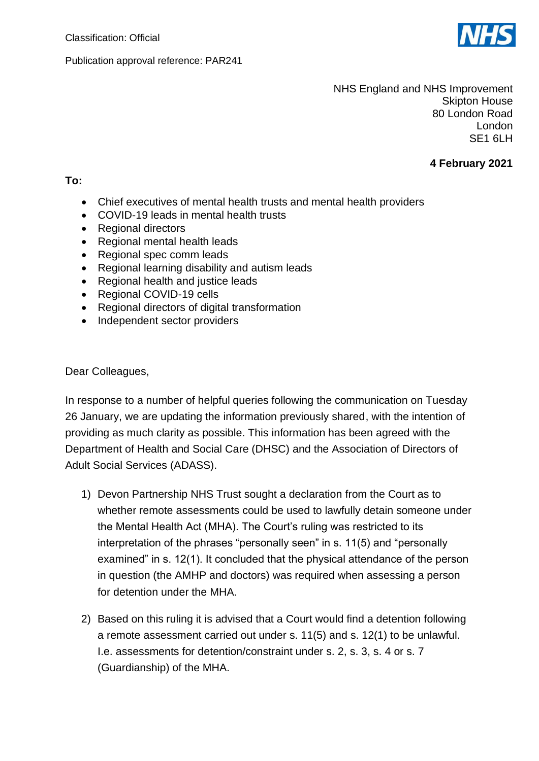

Publication approval reference: PAR241

NHS England and NHS Improvement Skipton House 80 London Road London SE1 6LH

## **4 February 2021**

## **To:**

- Chief executives of mental health trusts and mental health providers
- COVID-19 leads in mental health trusts
- Regional directors
- Regional mental health leads
- Regional spec comm leads
- Regional learning disability and autism leads
- Regional health and justice leads
- Regional COVID-19 cells
- Regional directors of digital transformation
- Independent sector providers

Dear Colleagues,

In response to a number of helpful queries following the communication on Tuesday 26 January, we are updating the information previously shared, with the intention of providing as much clarity as possible. This information has been agreed with the Department of Health and Social Care (DHSC) and the Association of Directors of Adult Social Services (ADASS).

- 1) Devon Partnership NHS Trust sought a declaration from the Court as to whether remote assessments could be used to lawfully detain someone under the Mental Health Act (MHA). The Court's ruling was restricted to its interpretation of the phrases "personally seen" in s. 11(5) and "personally examined" in s. 12(1). It concluded that the physical attendance of the person in question (the AMHP and doctors) was required when assessing a person for detention under the MHA.
- 2) Based on this ruling it is advised that a Court would find a detention following a remote assessment carried out under s. 11(5) and s. 12(1) to be unlawful. I.e. assessments for detention/constraint under s. 2, s. 3, s. 4 or s. 7 (Guardianship) of the MHA.